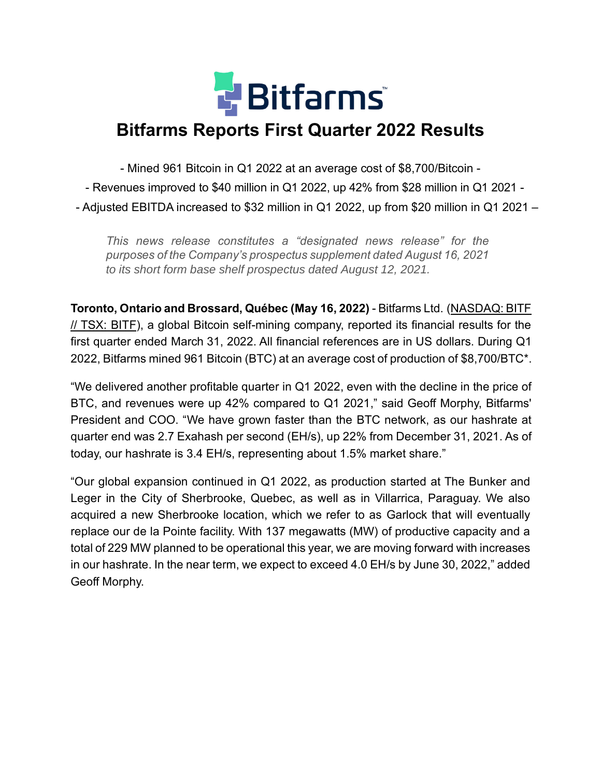

# **Bitfarms Reports First Quarter 2022 Results**

- Mined 961 Bitcoin in Q1 2022 at an average cost of \$8,700/Bitcoin - - Revenues improved to \$40 million in Q1 2022, up 42% from \$28 million in Q1 2021 - - Adjusted EBITDA increased to \$32 million in Q1 2022, up from \$20 million in Q1 2021 –

*This news release constitutes a "designated news release" for the purposes of the Company's prospectus supplement dated August 16, 2021 to its short form base shelf prospectus dated August 12, 2021.*

**Toronto, Ontario and Brossard, Québec (May 16, 2022)** - Bitfarms Ltd. (NASDAQ: BITF // TSX: BITF), a global Bitcoin self-mining company, reported its financial results for the first quarter ended March 31, 2022. All financial references are in US dollars. During Q1 2022, Bitfarms mined 961 Bitcoin (BTC) at an average cost of production of \$8,700/BTC\*.

"We delivered another profitable quarter in Q1 2022, even with the decline in the price of BTC, and revenues were up 42% compared to Q1 2021," said Geoff Morphy, Bitfarms' President and COO. "We have grown faster than the BTC network, as our hashrate at quarter end was 2.7 Exahash per second (EH/s), up 22% from December 31, 2021. As of today, our hashrate is 3.4 EH/s, representing about 1.5% market share."

"Our global expansion continued in Q1 2022, as production started at The Bunker and Leger in the City of Sherbrooke, Quebec, as well as in Villarrica, Paraguay. We also acquired a new Sherbrooke location, which we refer to as Garlock that will eventually replace our de la Pointe facility. With 137 megawatts (MW) of productive capacity and a total of 229 MW planned to be operational this year, we are moving forward with increases in our hashrate. In the near term, we expect to exceed 4.0 EH/s by June 30, 2022," added Geoff Morphy.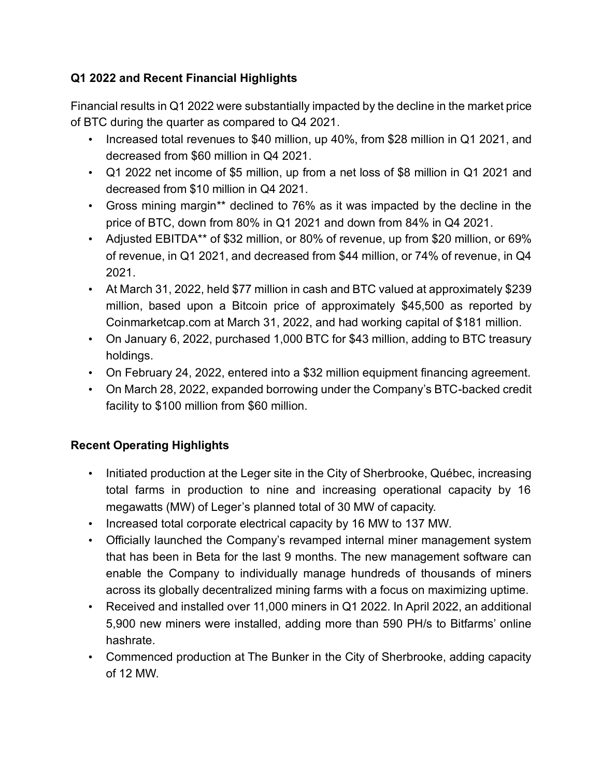## **Q1 2022 and Recent Financial Highlights**

Financial results in Q1 2022 were substantially impacted by the decline in the market price of BTC during the quarter as compared to Q4 2021.

- Increased total revenues to \$40 million, up 40%, from \$28 million in Q1 2021, and decreased from \$60 million in Q4 2021.
- Q1 2022 net income of \$5 million, up from a net loss of \$8 million in Q1 2021 and decreased from \$10 million in Q4 2021.
- Gross mining margin\*\* declined to 76% as it was impacted by the decline in the price of BTC, down from 80% in Q1 2021 and down from 84% in Q4 2021.
- Adjusted EBITDA\*\* of \$32 million, or 80% of revenue, up from \$20 million, or 69% of revenue, in Q1 2021, and decreased from \$44 million, or 74% of revenue, in Q4 2021.
- At March 31, 2022, held \$77 million in cash and BTC valued at approximately \$239 million, based upon a Bitcoin price of approximately \$45,500 as reported by Coinmarketcap.com at March 31, 2022, and had working capital of \$181 million.
- On January 6, 2022, purchased 1,000 BTC for \$43 million, adding to BTC treasury holdings.
- On February 24, 2022, entered into a \$32 million equipment financing agreement.
- On March 28, 2022, expanded borrowing under the Company's BTC-backed credit facility to \$100 million from \$60 million.

## **Recent Operating Highlights**

- Initiated production at the Leger site in the City of Sherbrooke, Québec, increasing total farms in production to nine and increasing operational capacity by 16 megawatts (MW) of Leger's planned total of 30 MW of capacity.
- Increased total corporate electrical capacity by 16 MW to 137 MW.
- Officially launched the Company's revamped internal miner management system that has been in Beta for the last 9 months. The new management software can enable the Company to individually manage hundreds of thousands of miners across its globally decentralized mining farms with a focus on maximizing uptime.
- Received and installed over 11,000 miners in Q1 2022. In April 2022, an additional 5,900 new miners were installed, adding more than 590 PH/s to Bitfarms' online hashrate.
- Commenced production at The Bunker in the City of Sherbrooke, adding capacity of 12 MW.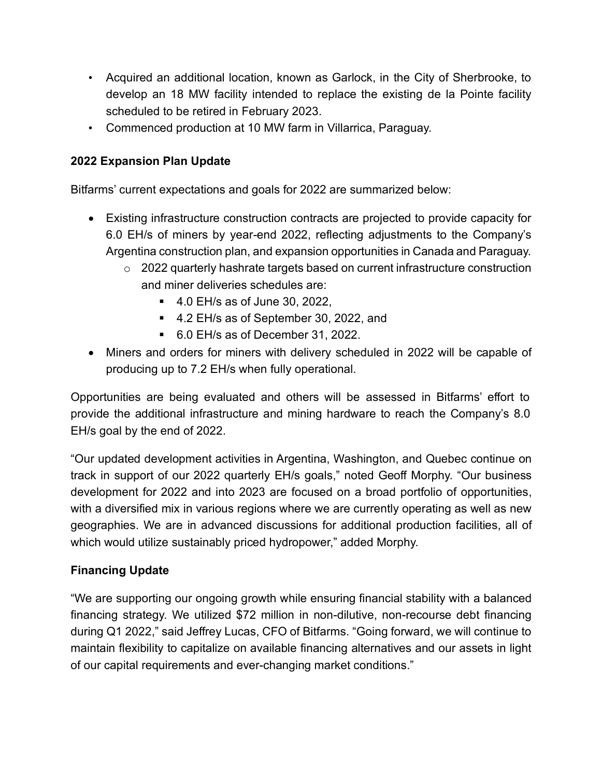- Acquired an additional location, known as Garlock, in the City of Sherbrooke, to develop an 18 MW facility intended to replace the existing de la Pointe facility scheduled to be retired in February 2023.
- Commenced production at 10 MW farm in Villarrica, Paraguay.

## **2022 Expansion Plan Update**

Bitfarms' current expectations and goals for 2022 are summarized below:

- Existing infrastructure construction contracts are projected to provide capacity for 6.0 EH/s of miners by year-end 2022, reflecting adjustments to the Company's Argentina construction plan, and expansion opportunities in Canada and Paraguay.
	- o 2022 quarterly hashrate targets based on current infrastructure construction and miner deliveries schedules are:
		- 4.0 EH/s as of June 30, 2022,
		- 4.2 EH/s as of September 30, 2022, and
		- 6.0 EH/s as of December 31, 2022.
- Miners and orders for miners with delivery scheduled in 2022 will be capable of producing up to 7.2 EH/s when fully operational.

Opportunities are being evaluated and others will be assessed in Bitfarms' effort to provide the additional infrastructure and mining hardware to reach the Company's 8.0 EH/s goal by the end of 2022.

"Our updated development activities in Argentina, Washington, and Quebec continue on track in support of our 2022 quarterly EH/s goals," noted Geoff Morphy. "Our business development for 2022 and into 2023 are focused on a broad portfolio of opportunities, with a diversified mix in various regions where we are currently operating as well as new geographies. We are in advanced discussions for additional production facilities, all of which would utilize sustainably priced hydropower," added Morphy.

## **Financing Update**

"We are supporting our ongoing growth while ensuring financial stability with a balanced financing strategy. We utilized \$72 million in non-dilutive, non-recourse debt financing during Q1 2022," said Jeffrey Lucas, CFO of Bitfarms. "Going forward, we will continue to maintain flexibility to capitalize on available financing alternatives and our assets in light of our capital requirements and ever-changing market conditions."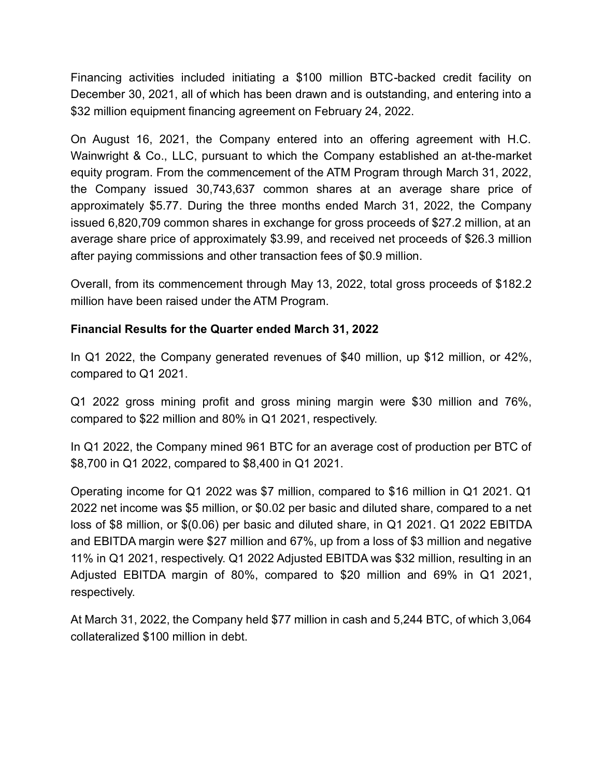Financing activities included initiating a \$100 million BTC-backed credit facility on December 30, 2021, all of which has been drawn and is outstanding, and entering into a \$32 million equipment financing agreement on February 24, 2022.

On August 16, 2021, the Company entered into an offering agreement with H.C. Wainwright & Co., LLC, pursuant to which the Company established an at-the-market equity program. From the commencement of the ATM Program through March 31, 2022, the Company issued 30,743,637 common shares at an average share price of approximately \$5.77. During the three months ended March 31, 2022, the Company issued 6,820,709 common shares in exchange for gross proceeds of \$27.2 million, at an average share price of approximately \$3.99, and received net proceeds of \$26.3 million after paying commissions and other transaction fees of \$0.9 million.

Overall, from its commencement through May 13, 2022, total gross proceeds of \$182.2 million have been raised under the ATM Program.

## **Financial Results for the Quarter ended March 31, 2022**

In Q1 2022, the Company generated revenues of \$40 million, up \$12 million, or 42%, compared to Q1 2021.

Q1 2022 gross mining profit and gross mining margin were \$30 million and 76%, compared to \$22 million and 80% in Q1 2021, respectively.

In Q1 2022, the Company mined 961 BTC for an average cost of production per BTC of \$8,700 in Q1 2022, compared to \$8,400 in Q1 2021.

Operating income for Q1 2022 was \$7 million, compared to \$16 million in Q1 2021. Q1 2022 net income was \$5 million, or \$0.02 per basic and diluted share, compared to a net loss of \$8 million, or \$(0.06) per basic and diluted share, in Q1 2021. Q1 2022 EBITDA and EBITDA margin were \$27 million and 67%, up from a loss of \$3 million and negative 11% in Q1 2021, respectively. Q1 2022 Adjusted EBITDA was \$32 million, resulting in an Adjusted EBITDA margin of 80%, compared to \$20 million and 69% in Q1 2021, respectively.

At March 31, 2022, the Company held \$77 million in cash and 5,244 BTC, of which 3,064 collateralized \$100 million in debt.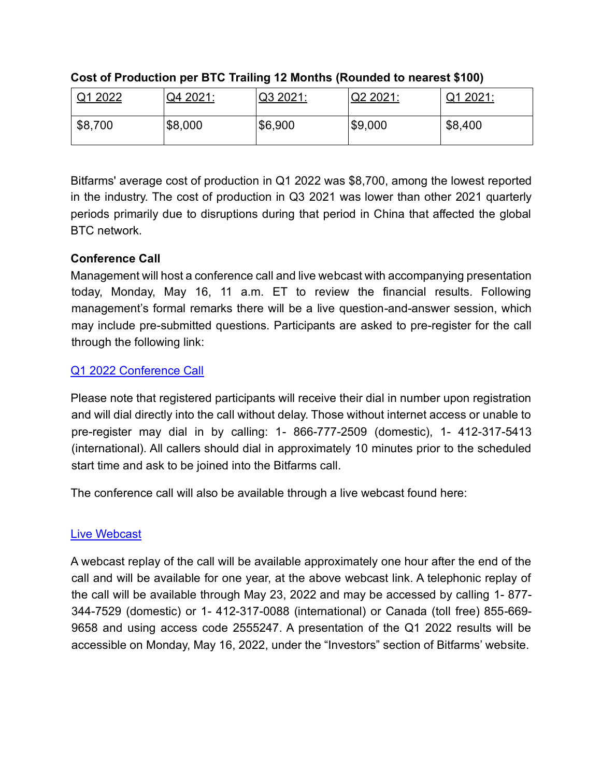| Q1 2022 | Q4 2021: | Q3 2021: | Q2 2021: | Q1 2021: |
|---------|----------|----------|----------|----------|
| \$8,700 | \$8,000  | \$6,900  | \$9,000  | \$8,400  |

#### **Cost of Production per BTC Trailing 12 Months (Rounded to nearest \$100)**

Bitfarms' average cost of production in Q1 2022 was \$8,700, among the lowest reported in the industry. The cost of production in Q3 2021 was lower than other 2021 quarterly periods primarily due to disruptions during that period in China that affected the global BTC network.

## **Conference Call**

Management will host a conference call and live webcast with accompanying presentation today, Monday, May 16, 11 a.m. ET to review the financial results. Following management's formal remarks there will be a live question-and-answer session, which may include pre-submitted questions. Participants are asked to pre-register for the call through the following link:

## [Q1 2022 Conference Call](https://dpregister.com/sreg/10165182/f2239ae7b8)

Please note that registered participants will receive their dial in number upon registration and will dial directly into the call without delay. Those without internet access or unable to pre-register may dial in by calling: 1- 866-777-2509 (domestic), 1- 412-317-5413 (international). All callers should dial in approximately 10 minutes prior to the scheduled start time and ask to be joined into the Bitfarms call.

The conference call will also be available through a live webcast found here:

## [Live Webcast](https://services.choruscall.com/mediaframe/webcast.html?webcastid=mdqyFZfq)

A webcast replay of the call will be available approximately one hour after the end of the call and will be available for one year, at the above webcast link. A telephonic replay of the call will be available through May 23, 2022 and may be accessed by calling 1- 877- 344-7529 (domestic) or 1- 412-317-0088 (international) or Canada (toll free) 855-669- 9658 and using access code 2555247. A presentation of the Q1 2022 results will be accessible on Monday, May 16, 2022, under the "Investors" section of Bitfarms' website.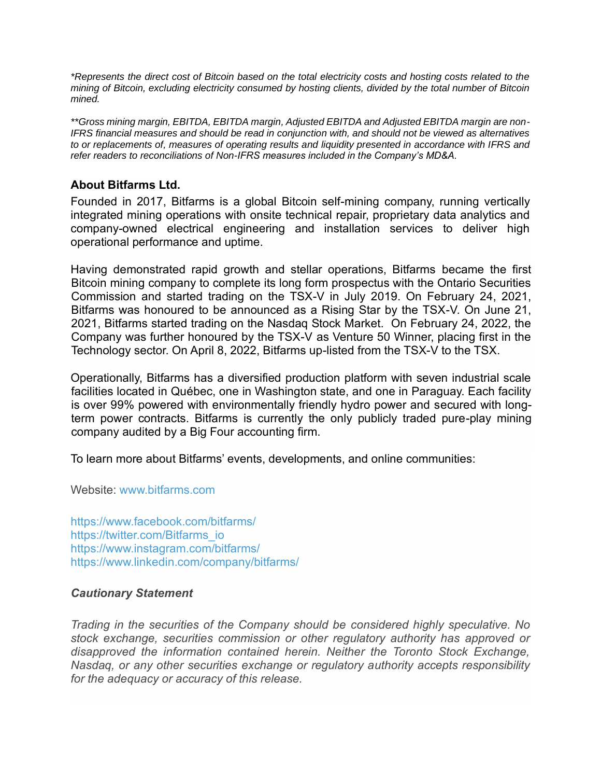*\*Represents the direct cost of Bitcoin based on the total electricity costs and hosting costs related to the mining of Bitcoin, excluding electricity consumed by hosting clients, divided by the total number of Bitcoin mined.*

*\*\*Gross mining margin, EBITDA, EBITDA margin, Adjusted EBITDA and Adjusted EBITDA margin are non-IFRS financial measures and should be read in conjunction with, and should not be viewed as alternatives to or replacements of, measures of operating results and liquidity presented in accordance with IFRS and refer readers to reconciliations of Non-IFRS measures included in the Company's MD&A.*

#### **About Bitfarms Ltd.**

Founded in 2017, Bitfarms is a global Bitcoin self-mining company, running vertically integrated mining operations with onsite technical repair, proprietary data analytics and company-owned electrical engineering and installation services to deliver high operational performance and uptime.

Having demonstrated rapid growth and stellar operations, Bitfarms became the first Bitcoin mining company to complete its long form prospectus with the Ontario Securities Commission and started trading on the TSX-V in July 2019. On February 24, 2021, Bitfarms was honoured to be announced as a Rising Star by the TSX-V. On June 21, 2021, Bitfarms started trading on the Nasdaq Stock Market. On February 24, 2022, the Company was further honoured by the TSX-V as Venture 50 Winner, placing first in the Technology sector. On April 8, 2022, Bitfarms up-listed from the TSX-V to the TSX.

Operationally, Bitfarms has a diversified production platform with seven industrial scale facilities located in Québec, one in Washington state, and one in Paraguay. Each facility is over 99% powered with environmentally friendly hydro power and secured with longterm power contracts. Bitfarms is currently the only publicly traded pure-play mining company audited by a Big Four accounting firm.

To learn more about Bitfarms' events, developments, and online communities:

Website: [www.bitfarms.com](https://cts.businesswire.com/ct/CT?id=smartlink&url=http%3A%2F%2Fwww.bitfarms.com&esheet=52352512&newsitemid=20201222005172&lan=en-US&anchor=www.bitfarms.com&index=2&md5=8a9d4e770ff4a5696a36ad864bb10f7e)

[https://www.facebook.com/bitfarms/](https://cts.businesswire.com/ct/CT?id=smartlink&url=https%3A%2F%2Fwww.facebook.com%2Fbitfarms%2F&esheet=52352512&newsitemid=20201222005172&lan=en-US&anchor=https%3A%2F%2Fwww.facebook.com%2Fbitfarms%2F&index=3&md5=b6e44e25b52add15c33e867ef844a87f) [https://twitter.com/Bitfarms\\_io](https://cts.businesswire.com/ct/CT?id=smartlink&url=https%3A%2F%2Ftwitter.com%2FBitfarms_io&esheet=52352512&newsitemid=20201222005172&lan=en-US&anchor=https%3A%2F%2Ftwitter.com%2FBitfarms_io&index=4&md5=ea5504adaee0d8d42bb82da141578a4c) [https://www.instagram.com/bitfarms/](https://cts.businesswire.com/ct/CT?id=smartlink&url=https%3A%2F%2Fwww.instagram.com%2Fbitfarms%2F&esheet=52352512&newsitemid=20201222005172&lan=en-US&anchor=https%3A%2F%2Fwww.instagram.com%2Fbitfarms%2F&index=5&md5=c23e35264dd3b32f731404db5d27ba13) [https://www.linkedin.com/company/bitfarms/](https://cts.businesswire.com/ct/CT?id=smartlink&url=https%3A%2F%2Fwww.linkedin.com%2Fcompany%2Fbitfarms%2F&esheet=52352512&newsitemid=20201222005172&lan=en-US&anchor=https%3A%2F%2Fwww.linkedin.com%2Fcompany%2Fbitfarms%2F&index=6&md5=b1358cccd49bdc78b84622ab953c638b)

#### *Cautionary Statement*

*Trading in the securities of the Company should be considered highly speculative. No stock exchange, securities commission or other regulatory authority has approved or disapproved the information contained herein. Neither the Toronto Stock Exchange, Nasdaq, or any other securities exchange or regulatory authority accepts responsibility for the adequacy or accuracy of this release.*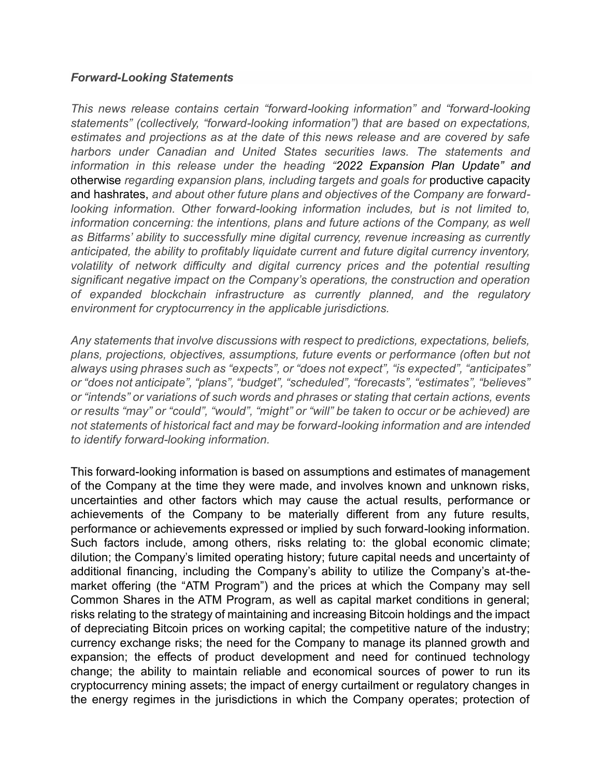#### *Forward-Looking Statements*

*This news release contains certain "forward-looking information" and "forward-looking statements" (collectively, "forward-looking information") that are based on expectations, estimates and projections as at the date of this news release and are covered by safe harbors under Canadian and United States securities laws. The statements and information in this release under the heading "2022 Expansion Plan Update" and* otherwise *regarding expansion plans, including targets and goals for* productive capacity and hashrates, *and about other future plans and objectives of the Company are forwardlooking information. Other forward-looking information includes, but is not limited to, information concerning: the intentions, plans and future actions of the Company, as well as Bitfarms' ability to successfully mine digital currency, revenue increasing as currently anticipated, the ability to profitably liquidate current and future digital currency inventory, volatility of network difficulty and digital currency prices and the potential resulting significant negative impact on the Company's operations, the construction and operation of expanded blockchain infrastructure as currently planned, and the regulatory environment for cryptocurrency in the applicable jurisdictions.*

*Any statements that involve discussions with respect to predictions, expectations, beliefs, plans, projections, objectives, assumptions, future events or performance (often but not always using phrases such as "expects", or "does not expect", "is expected", "anticipates" or "does not anticipate", "plans", "budget", "scheduled", "forecasts", "estimates", "believes" or "intends" or variations of such words and phrases or stating that certain actions, events or results "may" or "could", "would", "might" or "will" be taken to occur or be achieved) are not statements of historical fact and may be forward-looking information and are intended to identify forward-looking information.*

This forward-looking information is based on assumptions and estimates of management of the Company at the time they were made, and involves known and unknown risks, uncertainties and other factors which may cause the actual results, performance or achievements of the Company to be materially different from any future results, performance or achievements expressed or implied by such forward-looking information. Such factors include, among others, risks relating to: the global economic climate; dilution; the Company's limited operating history; future capital needs and uncertainty of additional financing, including the Company's ability to utilize the Company's at-themarket offering (the "ATM Program") and the prices at which the Company may sell Common Shares in the ATM Program, as well as capital market conditions in general; risks relating to the strategy of maintaining and increasing Bitcoin holdings and the impact of depreciating Bitcoin prices on working capital; the competitive nature of the industry; currency exchange risks; the need for the Company to manage its planned growth and expansion; the effects of product development and need for continued technology change; the ability to maintain reliable and economical sources of power to run its cryptocurrency mining assets; the impact of energy curtailment or regulatory changes in the energy regimes in the jurisdictions in which the Company operates; protection of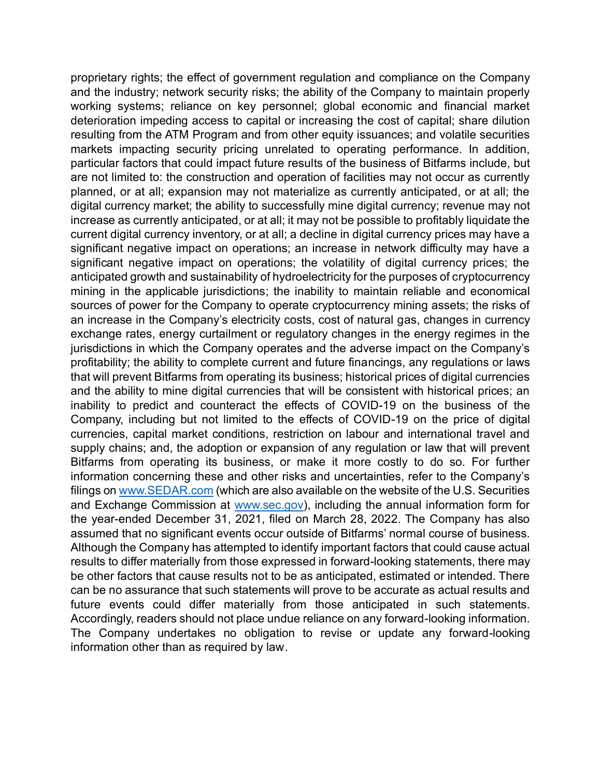proprietary rights; the effect of government regulation and compliance on the Company and the industry; network security risks; the ability of the Company to maintain properly working systems; reliance on key personnel; global economic and financial market deterioration impeding access to capital or increasing the cost of capital; share dilution resulting from the ATM Program and from other equity issuances; and volatile securities markets impacting security pricing unrelated to operating performance. In addition, particular factors that could impact future results of the business of Bitfarms include, but are not limited to: the construction and operation of facilities may not occur as currently planned, or at all; expansion may not materialize as currently anticipated, or at all; the digital currency market; the ability to successfully mine digital currency; revenue may not increase as currently anticipated, or at all; it may not be possible to profitably liquidate the current digital currency inventory, or at all; a decline in digital currency prices may have a significant negative impact on operations; an increase in network difficulty may have a significant negative impact on operations; the volatility of digital currency prices; the anticipated growth and sustainability of hydroelectricity for the purposes of cryptocurrency mining in the applicable jurisdictions; the inability to maintain reliable and economical sources of power for the Company to operate cryptocurrency mining assets; the risks of an increase in the Company's electricity costs, cost of natural gas, changes in currency exchange rates, energy curtailment or regulatory changes in the energy regimes in the jurisdictions in which the Company operates and the adverse impact on the Company's profitability; the ability to complete current and future financings, any regulations or laws that will prevent Bitfarms from operating its business; historical prices of digital currencies and the ability to mine digital currencies that will be consistent with historical prices; an inability to predict and counteract the effects of COVID-19 on the business of the Company, including but not limited to the effects of COVID-19 on the price of digital currencies, capital market conditions, restriction on labour and international travel and supply chains; and, the adoption or expansion of any regulation or law that will prevent Bitfarms from operating its business, or make it more costly to do so. For further information concerning these and other risks and uncertainties, refer to the Company's filings on [www.SEDAR.com](http://www.sedar.com/) (which are also available on the website of the U.S. Securities and Exchange Commission at [www.sec.gov\)](http://www.sec.gov/), including the annual information form for the year-ended December 31, 2021, filed on March 28, 2022. The Company has also assumed that no significant events occur outside of Bitfarms' normal course of business. Although the Company has attempted to identify important factors that could cause actual results to differ materially from those expressed in forward-looking statements, there may be other factors that cause results not to be as anticipated, estimated or intended. There can be no assurance that such statements will prove to be accurate as actual results and future events could differ materially from those anticipated in such statements. Accordingly, readers should not place undue reliance on any forward-looking information. The Company undertakes no obligation to revise or update any forward-looking information other than as required by law.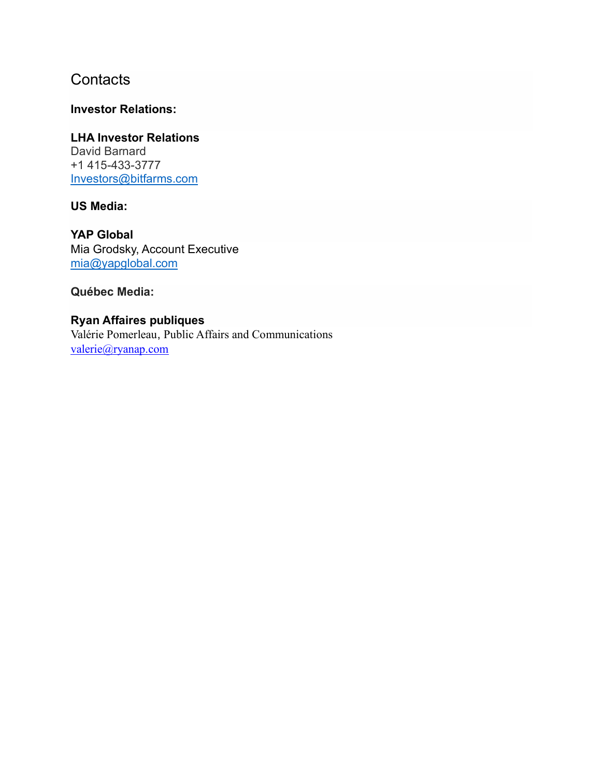## **Contacts**

#### **Investor Relations:**

#### **LHA Investor Relations**

David Barnard +1 415-433-3777 [Investors@bitfarms.com](mailto:Investors@bitfarms.com)

#### **US Media:**

## **YAP Global**

Mia Grodsky, Account Executive [mia@yapglobal.com](mailto:mia@yapglobal.com)

#### **Québec Media:**

## **Ryan Affaires publiques**

Valérie Pomerleau, Public Affairs and Communications [valerie@ryanap.com](mailto:valerie@ryanap.com)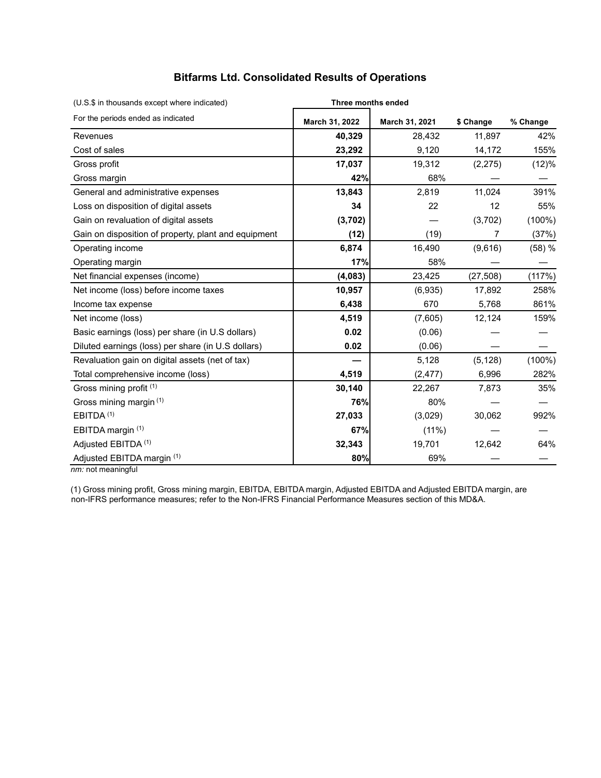|  | <b>Bitfarms Ltd. Consolidated Results of Operations</b> |  |  |
|--|---------------------------------------------------------|--|--|
|--|---------------------------------------------------------|--|--|

| (U.S.\$ in thousands except where indicated)         | Three months ended |                |           |           |
|------------------------------------------------------|--------------------|----------------|-----------|-----------|
| For the periods ended as indicated                   | March 31, 2022     | March 31, 2021 | \$ Change | % Change  |
| Revenues                                             | 40,329             | 28,432         | 11,897    | 42%       |
| Cost of sales                                        | 23,292             | 9,120          | 14,172    | 155%      |
| Gross profit                                         | 17,037             | 19,312         | (2,275)   | (12)%     |
| Gross margin                                         | 42%                | 68%            |           |           |
| General and administrative expenses                  | 13,843             | 2,819          | 11,024    | 391%      |
| Loss on disposition of digital assets                | 34                 | 22             | 12        | 55%       |
| Gain on revaluation of digital assets                | (3,702)            |                | (3,702)   | $(100\%)$ |
| Gain on disposition of property, plant and equipment | (12)               | (19)           | 7         | (37%)     |
| Operating income                                     | 6,874              | 16,490         | (9,616)   | (58) %    |
| Operating margin                                     | 17%                | 58%            |           |           |
| Net financial expenses (income)                      | (4,083)            | 23,425         | (27, 508) | (117%)    |
| Net income (loss) before income taxes                | 10,957             | (6,935)        | 17,892    | 258%      |
| Income tax expense                                   | 6,438              | 670            | 5,768     | 861%      |
| Net income (loss)                                    | 4,519              | (7,605)        | 12,124    | 159%      |
| Basic earnings (loss) per share (in U.S dollars)     | 0.02               | (0.06)         |           |           |
| Diluted earnings (loss) per share (in U.S dollars)   | 0.02               | (0.06)         |           |           |
| Revaluation gain on digital assets (net of tax)      |                    | 5,128          | (5, 128)  | $(100\%)$ |
| Total comprehensive income (loss)                    | 4,519              | (2, 477)       | 6,996     | 282%      |
| Gross mining profit (1)                              | 30,140             | 22,267         | 7,873     | 35%       |
| Gross mining margin (1)                              | 76%                | 80%            |           |           |
| EBITDA <sup>(1)</sup>                                | 27,033             | (3,029)        | 30,062    | 992%      |
| EBITDA margin (1)                                    | 67%                | $(11\%)$       |           |           |
| Adjusted EBITDA <sup>(1)</sup>                       | 32,343             | 19,701         | 12,642    | 64%       |
| Adjusted EBITDA margin (1)                           | 80%                | 69%            |           |           |

*nm:* not meaningful

(1) Gross mining profit, Gross mining margin, EBITDA, EBITDA margin, Adjusted EBITDA and Adjusted EBITDA margin, are non-IFRS performance measures; refer to the Non-IFRS Financial Performance Measures section of this MD&A.